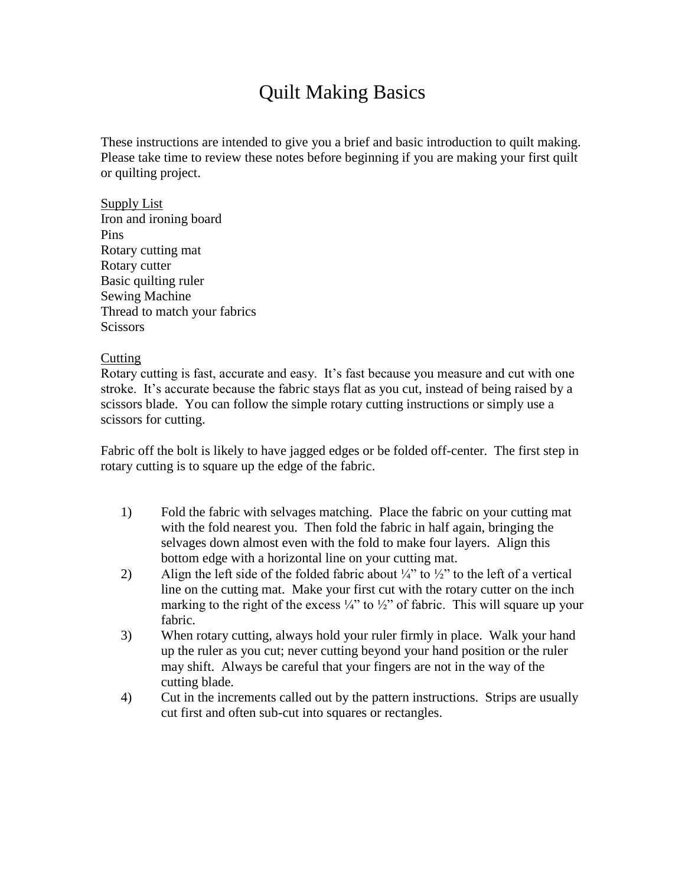# Quilt Making Basics

These instructions are intended to give you a brief and basic introduction to quilt making. Please take time to review these notes before beginning if you are making your first quilt or quilting project.

Supply List Iron and ironing board Pins Rotary cutting mat Rotary cutter Basic quilting ruler Sewing Machine Thread to match your fabrics Scissors

# Cutting

Rotary cutting is fast, accurate and easy. It's fast because you measure and cut with one stroke. It's accurate because the fabric stays flat as you cut, instead of being raised by a scissors blade. You can follow the simple rotary cutting instructions or simply use a scissors for cutting.

Fabric off the bolt is likely to have jagged edges or be folded off-center. The first step in rotary cutting is to square up the edge of the fabric.

- 1) Fold the fabric with selvages matching. Place the fabric on your cutting mat with the fold nearest you. Then fold the fabric in half again, bringing the selvages down almost even with the fold to make four layers. Align this bottom edge with a horizontal line on your cutting mat.
- 2) Align the left side of the folded fabric about  $\frac{1}{4}$ " to  $\frac{1}{2}$ " to the left of a vertical line on the cutting mat. Make your first cut with the rotary cutter on the inch marking to the right of the excess  $\frac{1}{4}$ " to  $\frac{1}{2}$ " of fabric. This will square up your fabric.
- 3) When rotary cutting, always hold your ruler firmly in place. Walk your hand up the ruler as you cut; never cutting beyond your hand position or the ruler may shift. Always be careful that your fingers are not in the way of the cutting blade.
- 4) Cut in the increments called out by the pattern instructions. Strips are usually cut first and often sub-cut into squares or rectangles.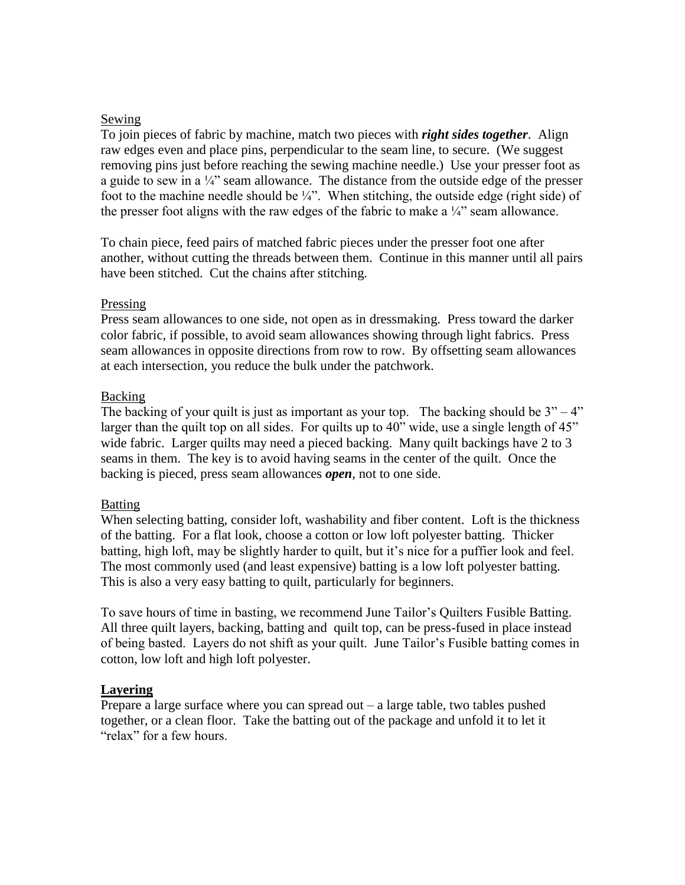## Sewing

To join pieces of fabric by machine, match two pieces with *right sides together*. Align raw edges even and place pins, perpendicular to the seam line, to secure. (We suggest removing pins just before reaching the sewing machine needle.) Use your presser foot as a guide to sew in a  $\frac{1}{4}$ " seam allowance. The distance from the outside edge of the presser foot to the machine needle should be  $\frac{1}{4}$ ". When stitching, the outside edge (right side) of the presser foot aligns with the raw edges of the fabric to make a  $\frac{1}{4}$  seam allowance.

To chain piece, feed pairs of matched fabric pieces under the presser foot one after another, without cutting the threads between them. Continue in this manner until all pairs have been stitched. Cut the chains after stitching.

#### Pressing

Press seam allowances to one side, not open as in dressmaking. Press toward the darker color fabric, if possible, to avoid seam allowances showing through light fabrics. Press seam allowances in opposite directions from row to row. By offsetting seam allowances at each intersection, you reduce the bulk under the patchwork.

#### Backing

The backing of your quilt is just as important as your top. The backing should be  $3" - 4"$ larger than the quilt top on all sides. For quilts up to 40" wide, use a single length of 45" wide fabric. Larger quilts may need a pieced backing. Many quilt backings have 2 to 3 seams in them. The key is to avoid having seams in the center of the quilt. Once the backing is pieced, press seam allowances *open*, not to one side.

#### Batting

When selecting batting, consider loft, washability and fiber content. Loft is the thickness of the batting. For a flat look, choose a cotton or low loft polyester batting. Thicker batting, high loft, may be slightly harder to quilt, but it's nice for a puffier look and feel. The most commonly used (and least expensive) batting is a low loft polyester batting. This is also a very easy batting to quilt, particularly for beginners.

To save hours of time in basting, we recommend June Tailor's Quilters Fusible Batting. All three quilt layers, backing, batting and quilt top, can be press-fused in place instead of being basted. Layers do not shift as your quilt. June Tailor's Fusible batting comes in cotton, low loft and high loft polyester.

## **Layering**

Prepare a large surface where you can spread out – a large table, two tables pushed together, or a clean floor. Take the batting out of the package and unfold it to let it "relax" for a few hours.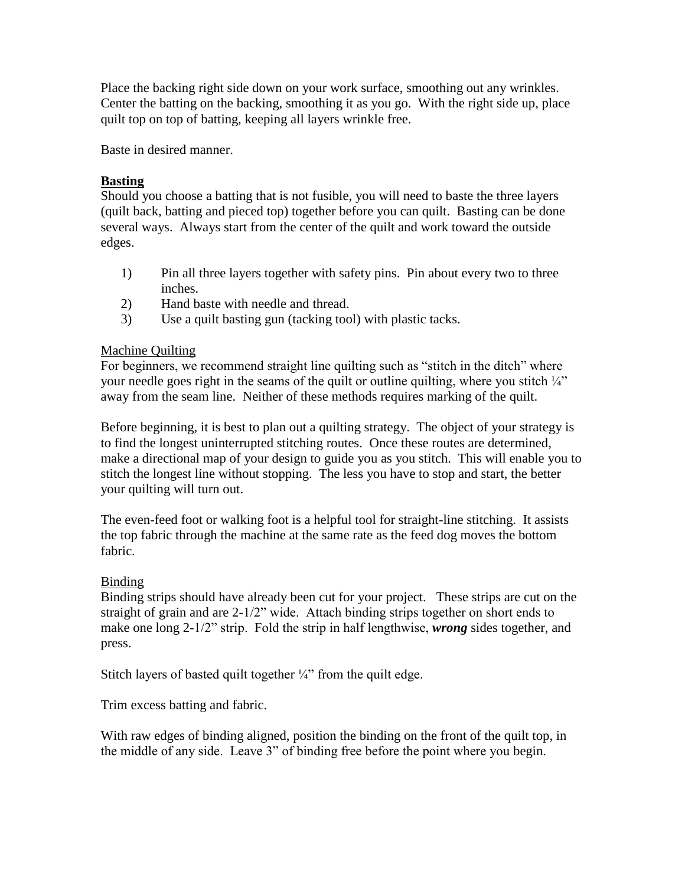Place the backing right side down on your work surface, smoothing out any wrinkles. Center the batting on the backing, smoothing it as you go. With the right side up, place quilt top on top of batting, keeping all layers wrinkle free.

Baste in desired manner.

# **Basting**

Should you choose a batting that is not fusible, you will need to baste the three layers (quilt back, batting and pieced top) together before you can quilt. Basting can be done several ways. Always start from the center of the quilt and work toward the outside edges.

- 1) Pin all three layers together with safety pins. Pin about every two to three inches.
- 2) Hand baste with needle and thread.
- 3) Use a quilt basting gun (tacking tool) with plastic tacks.

# Machine Quilting

For beginners, we recommend straight line quilting such as "stitch in the ditch" where your needle goes right in the seams of the quilt or outline quilting, where you stitch  $\frac{1}{4}$ " away from the seam line. Neither of these methods requires marking of the quilt.

Before beginning, it is best to plan out a quilting strategy. The object of your strategy is to find the longest uninterrupted stitching routes. Once these routes are determined, make a directional map of your design to guide you as you stitch. This will enable you to stitch the longest line without stopping. The less you have to stop and start, the better your quilting will turn out.

The even-feed foot or walking foot is a helpful tool for straight-line stitching. It assists the top fabric through the machine at the same rate as the feed dog moves the bottom fabric.

# Binding

Binding strips should have already been cut for your project. These strips are cut on the straight of grain and are 2-1/2" wide. Attach binding strips together on short ends to make one long 2-1/2" strip. Fold the strip in half lengthwise, *wrong* sides together, and press.

Stitch layers of basted quilt together  $\frac{1}{4}$ " from the quilt edge.

Trim excess batting and fabric.

With raw edges of binding aligned, position the binding on the front of the quilt top, in the middle of any side. Leave 3" of binding free before the point where you begin.